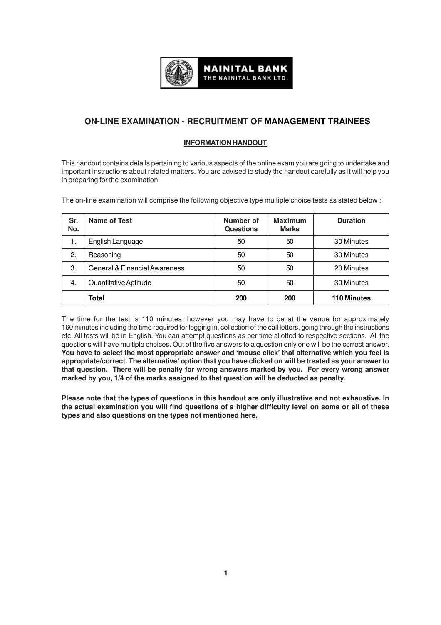

# **ON-LINE EXAMINATION - RECRUITMENT OF MANAGEMENT TRAINEES**

## **INFORMATION HANDOUT**

This handout contains details pertaining to various aspects of the online exam you are going to undertake and important instructions about related matters. You are advised to study the handout carefully as it will help you in preparing for the examination.

The on-line examination will comprise the following objective type multiple choice tests as stated below :

| Sr.<br>No. | Name of Test                  | Number of<br><b>Questions</b> | <b>Maximum</b><br><b>Marks</b> | <b>Duration</b>    |
|------------|-------------------------------|-------------------------------|--------------------------------|--------------------|
| 1.         | English Language              | 50                            | 50                             | 30 Minutes         |
| 2.         | Reasoning                     | 50                            | 50                             | 30 Minutes         |
| 3.         | General & Financial Awareness | 50                            | 50                             | 20 Minutes         |
| 4.         | Quantitative Aptitude         | 50                            | 50                             | 30 Minutes         |
|            | <b>Total</b>                  | 200                           | 200                            | <b>110 Minutes</b> |

The time for the test is 110 minutes; however you may have to be at the venue for approximately 160 minutes including the time required for logging in, collection of the call letters, going through the instructions etc. All tests will be in English. You can attempt questions as per time allotted to respective sections. All the questions will have multiple choices. Out of the five answers to a question only one will be the correct answer. **You have to select the most appropriate answer and 'mouse click' that alternative which you feel is appropriate/correct. The alternative/ option that you have clicked on will be treated as your answer to that question. There will be penalty for wrong answers marked by you. For every wrong answer marked by you, 1/4 of the marks assigned to that question will be deducted as penalty.**

**Please note that the types of questions in this handout are only illustrative and not exhaustive. In the actual examination you will find questions of a higher difficulty level on some or all of these types and also questions on the types not mentioned here.**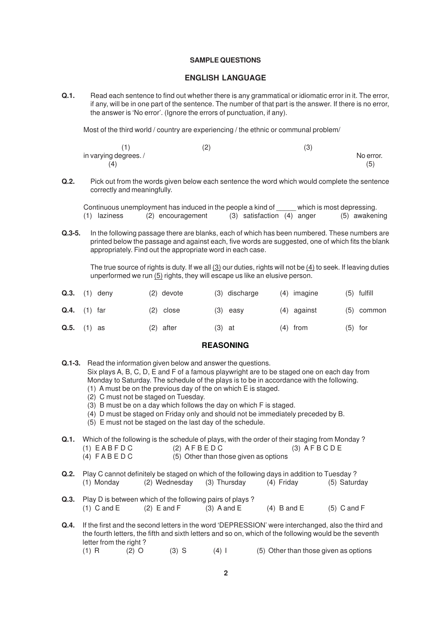#### **SAMPLE QUESTIONS**

#### **ENGLISH LANGUAGE**

**Q.1.** Read each sentence to find out whether there is any grammatical or idiomatic error in it. The error, if any, will be in one part of the sentence. The number of that part is the answer. If there is no error, the answer is 'No error'. (Ignore the errors of punctuation, if any).

Most of the third world / country are experiencing / the ethnic or communal problem/

|                      | $\sim$<br>⊂ | $\sim$<br>U |           |
|----------------------|-------------|-------------|-----------|
| in varying degrees./ |             |             | No error. |
| (4)                  |             |             | (5)       |

**Q.2.** Pick out from the words given below each sentence the word which would complete the sentence correctly and meaningfully.

| which is most depressing.<br>Continuous unemployment has induced in the people a kind of |                |  |                   |  |                                |  |  |  |               |
|------------------------------------------------------------------------------------------|----------------|--|-------------------|--|--------------------------------|--|--|--|---------------|
|                                                                                          | $(1)$ laziness |  | (2) encouragement |  | $(3)$ satisfaction $(4)$ anger |  |  |  | (5) awakening |

**Q.3-5.** In the following passage there are blanks, each of which has been numbered. These numbers are printed below the passage and against each, five words are suggested, one of which fits the blank appropriately. Find out the appropriate word in each case.

The true source of rights is duty. If we all (3) our duties, rights will not be (4) to seek. If leaving duties unperformed we run (5) rights, they will escape us like an elusive person.

| Q.3. | (1) deny       | $(2)$ devote |          | (3) discharge | $(4)$ imagine |           | $(5)$ fulfill |
|------|----------------|--------------|----------|---------------|---------------|-----------|---------------|
|      | $Q.4.$ (1) far | $(2)$ close  |          | $(3)$ easy    | $(4)$ against |           | $(5)$ common  |
|      | $Q.5.$ (1) as  | $(2)$ after  | $(3)$ at |               | $(4)$ from    | $(5)$ for |               |

## **REASONING**

- **Q.1-3.** Read the information given below and answer the questions. Six plays A, B, C, D, E and F of a famous playwright are to be staged one on each day from Monday to Saturday. The schedule of the plays is to be in accordance with the following. (1) A must be on the previous day of the on which E is staged.
	- (2) C must not be staged on Tuesday.
	- (3) B must be on a day which follows the day on which F is staged.
	- (4) D must be staged on Friday only and should not be immediately preceded by B.
	- (5) E must not be staged on the last day of the schedule.

**Q.1.** Which of the following is the schedule of plays, with the order of their staging from Monday?  $(1)$  EABFDC  $(2)$  AFBED C  $(3)$  AFB CD E (4)  $F \land B \in D \cup C$  (5) Other than those given as options

- **Q.2.** Play C cannot definitely be staged on which of the following days in addition to Tuesday ?<br>(1) Monday (2) Wednesday (3) Thursday (4) Friday (5) Saturday (1) Monday (2) Wednesday (3) Thursday (4) Friday
- **Q.3.** Play D is between which of the following pairs of plays ? (1) C and E (2) E and F (3) A and E (4) B and E (5) C and F
- **Q.4.** If the first and the second letters in the word 'DEPRESSION' were interchanged, also the third and the fourth letters, the fifth and sixth letters and so on, which of the following would be the seventh letter from the right?
	- (1) R  $(2)$  O  $(3)$  S  $(4)$  I  $(5)$  Other than those given as options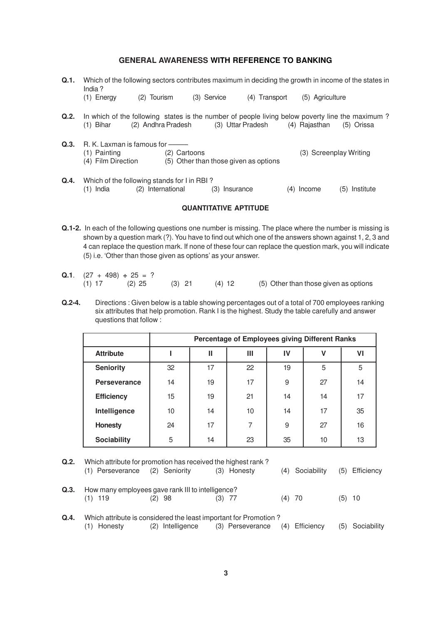## **GENERAL AWARENESS WITH REFERENCE TO BANKING**

- **Q.1.** Which of the following sectors contributes maximum in deciding the growth in income of the states in India ?
	- (1) Energy (2) Tourism (3) Service (4) Transport (5) Agriculture
- **Q.2.** In which of the following states is the number of people living below poverty line the maximum? (1) Bihar (2) Andhra Pradesh (3) Uttar Pradesh (4) Rajasthan (5) Orissa
- **Q.3.** R. K. Laxman is famous for –<br>(1) Painting (2) (2) Cartoons (3) Screenplay Writing (4) Film Direction (5) Other than those given as options
- **Q.4.** Which of the following stands for I in RBI ? (1) India (2) International (3) Insurance (4) Income (5) Institute

#### **QUANTITATIVE APTITUDE**

- **Q.1-2.** In each of the following questions one number is missing. The place where the number is missing is shown by a question mark (?). You have to find out which one of the answers shown against 1, 2, 3 and 4 can replace the question mark. If none of these four can replace the question mark, you will indicate (5) i.e. 'Other than those given as options' as your answer.
- **Q.1**.  $(27 + 498) \div 25 = ?$ (1) 17 (2) 25 (3) 21 (4) 12 (5) Other than those given as options
- **Q.2-4.** Directions : Given below is a table showing percentages out of a total of 700 employees ranking six attributes that help promotion. Rank I is the highest. Study the table carefully and answer questions that follow :

|                     | Percentage of Employees giving Different Ranks |                         |    |    |    |    |  |  |  |  |  |  |
|---------------------|------------------------------------------------|-------------------------|----|----|----|----|--|--|--|--|--|--|
| <b>Attribute</b>    |                                                | Ш<br>Ш<br>IV<br>v<br>VI |    |    |    |    |  |  |  |  |  |  |
| <b>Seniority</b>    | 32                                             | 17                      | 22 | 19 | 5  | 5  |  |  |  |  |  |  |
| <b>Perseverance</b> | 14                                             | 19                      | 17 | 9  | 27 | 14 |  |  |  |  |  |  |
| <b>Efficiency</b>   | 15                                             | 19                      | 21 | 14 | 14 | 17 |  |  |  |  |  |  |
| Intelligence        | 10                                             | 14                      | 10 | 14 | 17 | 35 |  |  |  |  |  |  |
| <b>Honesty</b>      | 24                                             | 17                      | 7  | 9  | 27 | 16 |  |  |  |  |  |  |
| <b>Sociability</b>  | 5                                              | 14                      | 23 | 35 | 10 | 13 |  |  |  |  |  |  |

| Q <sub>1</sub> 2 <sub>1</sub> | Which attribute for promotion has received the highest rank? |                                                                                      |                  |     |                 |          |                |  |  |
|-------------------------------|--------------------------------------------------------------|--------------------------------------------------------------------------------------|------------------|-----|-----------------|----------|----------------|--|--|
|                               | (1) Perseverance                                             | (2) Seniority                                                                        | (3) Honesty      |     | (4) Sociability |          | (5) Efficiency |  |  |
| Q.3.                          | $(1)$ 119                                                    | How many employees gave rank III to intelligence?<br>$(2)$ 98                        | (3) 77           |     | $(4)$ 70        | $(5)$ 10 |                |  |  |
| Q.4.                          | (1) Honesty                                                  | Which attribute is considered the least important for Promotion?<br>(2) Intelligence | (3) Perseverance | (4) | Efficiency      | (5)      | Sociability    |  |  |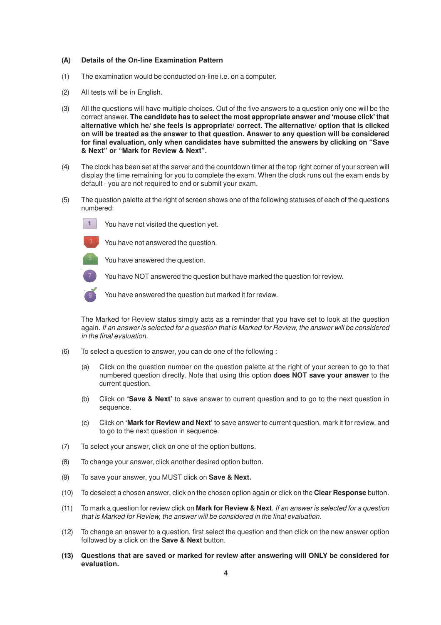#### **(A) Details of the On-line Examination Pattern**

- (1) The examination would be conducted on-line i.e. on a computer.
- (2) All tests will be in English.
- (3) All the questions will have multiple choices. Out of the five answers to a question only one will be the correct answer. **The candidate has to select the most appropriate answer and 'mouse click' that alternative which he/ she feels is appropriate/ correct. The alternative/ option that is clicked on will be treated as the answer to that question. Answer to any question will be considered for final evaluation, only when candidates have submitted the answers by clicking on "Save & Next" or "Mark for Review & Next".**
- (4) The clock has been set at the server and the countdown timer at the top right corner of your screen will display the time remaining for you to complete the exam. When the clock runs out the exam ends by default - you are not required to end or submit your exam.
- (5) The question palette at the right of screen shows one of the following statuses of each of the questions numbered:



You have not visited the question yet.



You have not answered the question.

You have answered the question.



You have NOT answered the question but have marked the question for review.



You have answered the question but marked it for review.

The Marked for Review status simply acts as a reminder that you have set to look at the question again. If an answer is selected for a question that is Marked for Review, the answer will be considered in the final evaluation.

- (6) To select a question to answer, you can do one of the following :
	- (a) Click on the question number on the question palette at the right of your screen to go to that numbered question directly. Note that using this option **does NOT save your answer** to the current question.
	- (b) Click on **'Save & Next'** to save answer to current question and to go to the next question in sequence.
	- (c) Click on **'Mark for Review and Next'** to save answer to current question, mark it for review, and to go to the next question in sequence.
- (7) To select your answer, click on one of the option buttons.
- (8) To change your answer, click another desired option button.
- (9) To save your answer, you MUST click on **Save & Next.**
- (10) To deselect a chosen answer, click on the chosen option again or click on the **Clear Response** button.
- (11) To mark a question for review click on **Mark for Review & Next**. If an answer is selected for a question that is Marked for Review, the answer will be considered in the final evaluation.
- (12) To change an answer to a question, first select the question and then click on the new answer option followed by a click on the **Save & Next** button.
- **(13) Questions that are saved or marked for review after answering will ONLY be considered for evaluation.**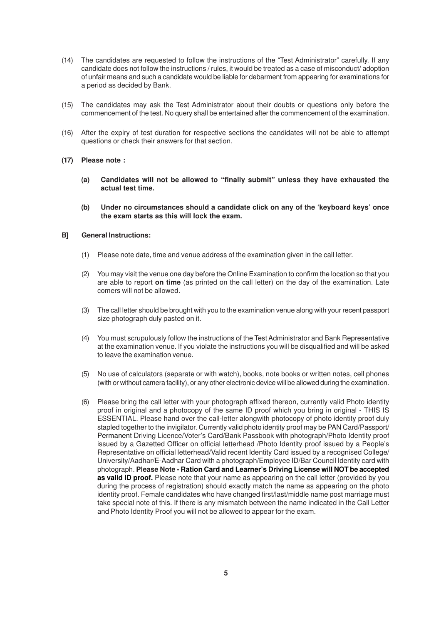- (14) The candidates are requested to follow the instructions of the "Test Administrator" carefully. If any candidate does not follow the instructions / rules, it would be treated as a case of misconduct/ adoption of unfair means and such a candidate would be liable for debarment from appearing for examinations for a period as decided by Bank.
- (15) The candidates may ask the Test Administrator about their doubts or questions only before the commencement of the test. No query shall be entertained after the commencement of the examination.
- (16) After the expiry of test duration for respective sections the candidates will not be able to attempt questions or check their answers for that section.
- **(17) Please note :**
	- **(a) Candidates will not be allowed to "finally submit" unless they have exhausted the actual test time.**
	- **(b) Under no circumstances should a candidate click on any of the 'keyboard keys' once the exam starts as this will lock the exam.**

#### **B] General Instructions:**

- (1) Please note date, time and venue address of the examination given in the call letter.
- (2) You may visit the venue one day before the Online Examination to confirm the location so that you are able to report **on time** (as printed on the call letter) on the day of the examination. Late comers will not be allowed.
- (3) The call letter should be brought with you to the examination venue along with your recent passport size photograph duly pasted on it.
- (4) You must scrupulously follow the instructions of the Test Administrator and Bank Representative at the examination venue. If you violate the instructions you will be disqualified and will be asked to leave the examination venue.
- (5) No use of calculators (separate or with watch), books, note books or written notes, cell phones (with or without camera facility), or any other electronic device will be allowed during the examination.
- (6) Please bring the call letter with your photograph affixed thereon, currently valid Photo identity proof in original and a photocopy of the same ID proof which you bring in original - THIS IS ESSENTIAL. Please hand over the call-letter alongwith photocopy of photo identity proof duly stapled together to the invigilator. Currently valid photo identity proof may be PAN Card/Passport/ Permanent Driving Licence/Voter's Card/Bank Passbook with photograph/Photo Identity proof issued by a Gazetted Officer on official letterhead /Photo Identity proof issued by a People's Representative on official letterhead/Valid recent Identity Card issued by a recognised College/ University/Aadhar/E-Aadhar Card with a photograph/Employee ID/Bar Council Identity card with photograph. **Please Note - Ration Card and Learner's Driving License will NOT be accepted** as valid ID proof. Please note that your name as appearing on the call letter (provided by you during the process of registration) should exactly match the name as appearing on the photo identity proof. Female candidates who have changed first/last/middle name post marriage must take special note of this. If there is any mismatch between the name indicated in the Call Letter and Photo Identity Proof you will not be allowed to appear for the exam.